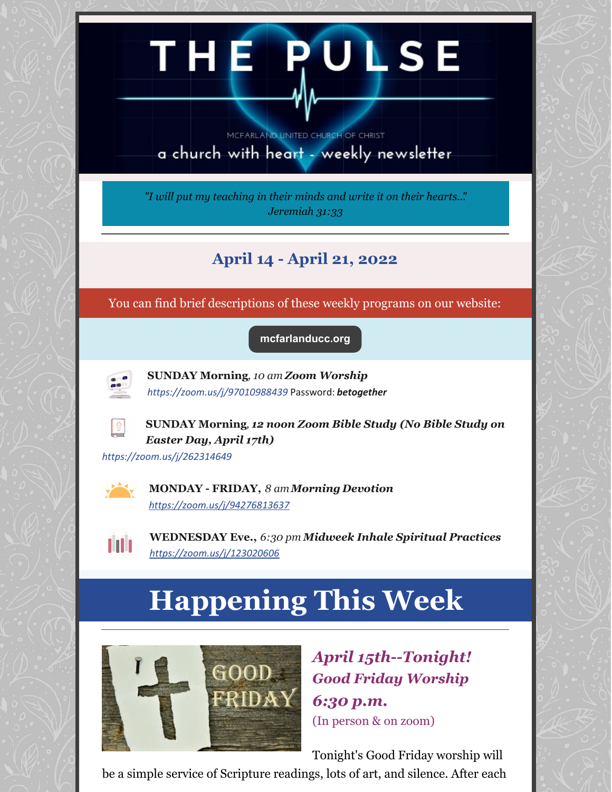# THE PULSE

MCFARLAND UNITED CHURCH OF CHRIST

a church with heart - weekly newsletter

*"I will put my teaching in their minds and write it on their hearts..". Jeremiah 31:33*

## **April 14 - April 21, 2022**

You can find brief descriptions of these weekly programs on our website:

**[mcfarlanducc.org](http://mcfarlanducc.org)**



**SUNDAY Morning***, 10 am Zoom Worship <https://zoom.us/j/97010988439>* Password: *betogether*



**SUNDAY Morning***, 12 noon Zoom Bible Study (No Bible Study on Easter Day, April 17th)*

*<https://zoom.us/j/262314649>*



**MONDAY - FRIDAY,** *8 amMorning Devotion <https://zoom.us/j/94276813637>*



**WEDNESDAY Eve.,** *6:30 pm Midweek Inhale Spiritual Practices <https://zoom.us/j/123020606>*

# **Happening This Week**



*April 15th--Tonight! Good Friday Worship 6:30 p.m.* (In person & on zoom)

Tonight's Good Friday worship will

be a simple service of Scripture readings, lots of art, and silence. After each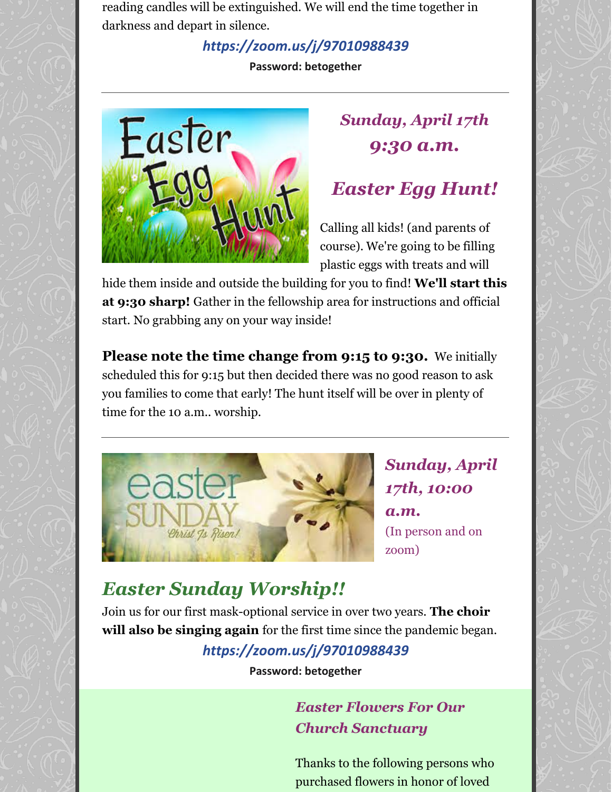reading candles will be extinguished. We will end the time together in darkness and depart in silence.

#### *<https://zoom.us/j/97010988439>*

**Password: betogether**



# *Sunday, April 17th 9:30 a.m.*

# *Easter Egg Hunt!*

Calling all kids! (and parents of course). We're going to be filling plastic eggs with treats and will

hide them inside and outside the building for you to find! **We'll start this at 9:30 sharp!** Gather in the fellowship area for instructions and official start. No grabbing any on your way inside!

**Please note the time change from 9:15 to 9:30.** We initially scheduled this for 9:15 but then decided there was no good reason to ask you families to come that early! The hunt itself will be over in plenty of time for the 10 a.m.. worship.



*Sunday, April 17th, 10:00 a.m.* (In person and on zoom)

# *Easter Sunday Worship!!*

Join us for our first mask-optional service in over two years. **The choir will also be singing again** for the first time since the pandemic began.

## *<https://zoom.us/j/97010988439>*

**Password: betogether**

#### *Easter Flowers For Our Church Sanctuary*

Thanks to the following persons who purchased flowers in honor of loved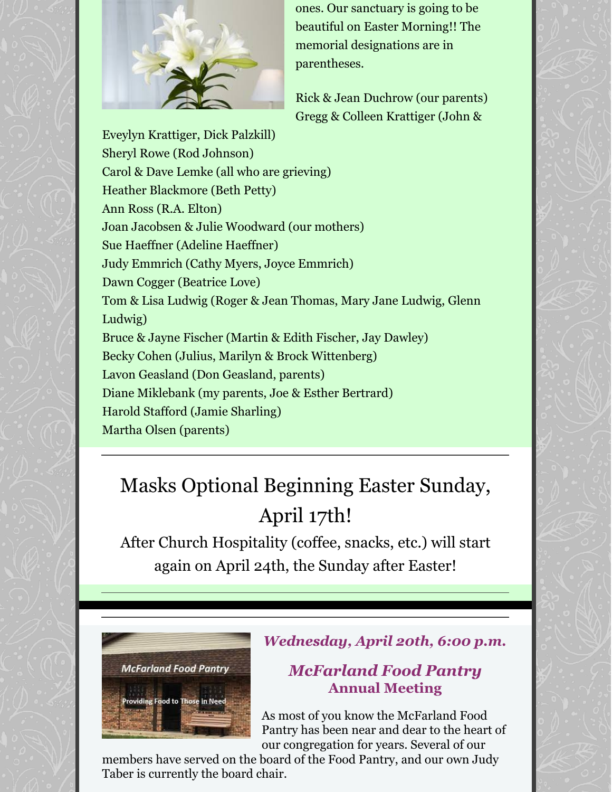

ones. Our sanctuary is going to be beautiful on Easter Morning!! The memorial designations are in parentheses.

Rick & Jean Duchrow (our parents) Gregg & Colleen Krattiger (John &

Eveylyn Krattiger, Dick Palzkill) Sheryl Rowe (Rod Johnson) Carol & Dave Lemke (all who are grieving) Heather Blackmore (Beth Petty) Ann Ross (R.A. Elton) Joan Jacobsen & Julie Woodward (our mothers) Sue Haeffner (Adeline Haeffner) Judy Emmrich (Cathy Myers, Joyce Emmrich) Dawn Cogger (Beatrice Love) Tom & Lisa Ludwig (Roger & Jean Thomas, Mary Jane Ludwig, Glenn Ludwig) Bruce & Jayne Fischer (Martin & Edith Fischer, Jay Dawley) Becky Cohen (Julius, Marilyn & Brock Wittenberg) Lavon Geasland (Don Geasland, parents) Diane Miklebank (my parents, Joe & Esther Bertrard) Harold Stafford (Jamie Sharling) Martha Olsen (parents)

# Masks Optional Beginning Easter Sunday, April 17th!

After Church Hospitality (coffee, snacks, etc.) will start again on April 24th, the Sunday after Easter!



#### *Wednesday, April 20th, 6:00 p.m.*

#### *McFarland Food Pantry* **Annual Meeting**

As most of you know the McFarland Food Pantry has been near and dear to the heart of our congregation for years. Several of our

members have served on the board of the Food Pantry, and our own Judy Taber is currently the board chair.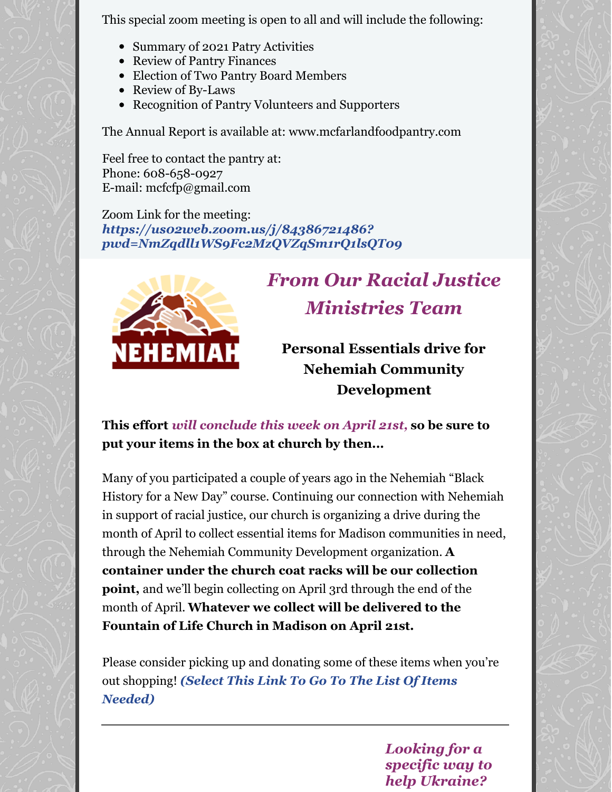This special zoom meeting is open to all and will include the following:

- Summary of 2021 Patry Activities
- Review of Pantry Finances
- Election of Two Pantry Board Members
- Review of By-Laws
- Recognition of Pantry Volunteers and Supporters

The Annual Report is available at: www.mcfarlandfoodpantry.com

Feel free to contact the pantry at: Phone: 608-658-0927 E-mail: mcfcfp@gmail.com

Zoom Link for the meeting: *https://us02web.zoom.us/j/84386721486? [pwd=NmZqdll1WS9Fc2MzQVZqSm1rQ1lsQT09](https://us02web.zoom.us/j/84386721486?pwd=NmZqdll1WS9Fc2MzQVZqSm1rQ1lsQT09)*



# *From Our Racial Justice Ministries Team*

**Personal Essentials drive for Nehemiah Community Development**

#### **This effort** *will conclude this week on April 21st,* **so be sure to put your items in the box at church by then...**

Many of you participated a couple of years ago in the Nehemiah "Black History for a New Day" course. Continuing our connection with Nehemiah in support of racial justice, our church is organizing a drive during the month of April to collect essential items for Madison communities in need, through the Nehemiah Community Development organization. **A container under the church coat racks will be our collection point,** and we'll begin collecting on April 3rd through the end of the month of April. **Whatever we collect will be delivered to the Fountain of Life Church in Madison on April 21st.**

Please consider picking up and donating some of these items when you're out [shopping!](http://www.mcfarlanducc.org/uploads/3/1/4/0/31404345/personal_essentials_drive_for_nehemiah_community_development.pdf) *(Select This Link To Go To The List Of Items Needed)*

> *Looking for a specific way to help Ukraine?*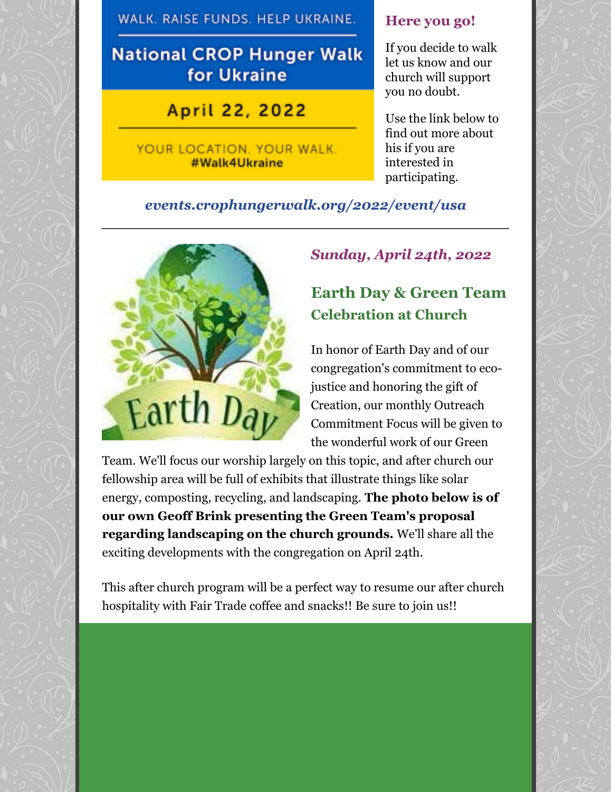WALK. RAISE FUNDS. HELP UKRAINE.

## **National CROP Hunger Walk** for Ukraine

April 22, 2022

YOUR LOCATION. YOUR WALK. #Walk4Ukraine

#### **Here you go!**

If you decide to walk let us know and our church will support you no doubt.

Use the link below to find out more about his if you are interested in participating.

#### *[events.crophungerwalk.org/2022/event/usa](http://events.crophungerwalk.org/2022/event/usa)*



#### *Sunday, April 24th, 2022*

## **Earth Day & Green Team Celebration at Church**

In honor of Earth Day and of our congregation's commitment to ecojustice and honoring the gift of Creation, our monthly Outreach Commitment Focus will be given to the wonderful work of our Green

Team. We'll focus our worship largely on this topic, and after church our fellowship area will be full of exhibits that illustrate things like solar energy, composting, recycling, and landscaping. **The photo below is of our own Geoff Brink presenting the Green Team's proposal regarding landscaping on the church grounds.** We'll share all the exciting developments with the congregation on April 24th.

This after church program will be a perfect way to resume our after church hospitality with Fair Trade coffee and snacks!! Be sure to join us!!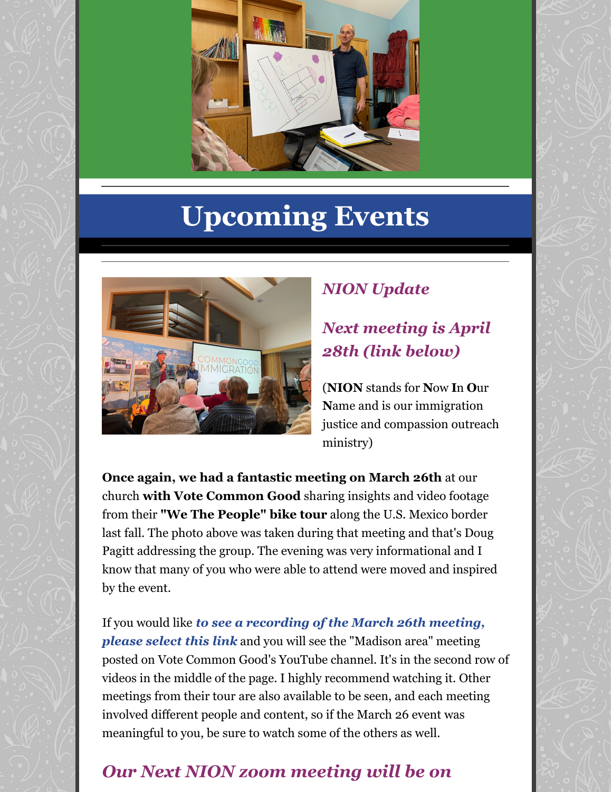

# **Upcoming Events**



## *NION Update*

## *Next meeting is April 28th (link below)*

(**NION** stands for **N**ow **I**n **O**ur **N**ame and is our immigration justice and compassion outreach ministry)

**Once again, we had a fantastic meeting on March 26th** at our church **with Vote Common Good** sharing insights and video footage from their **"We The People" bike tour** along the U.S. Mexico border last fall. The photo above was taken during that meeting and that's Doug Pagitt addressing the group. The evening was very informational and I know that many of you who were able to attend were moved and inspired by the event.

If you would like *to see a [recording](https://www.votecommongood.com/live/) of the March 26th meeting, please select this link* and you will see the "Madison area" meeting posted on Vote Common Good's YouTube channel. It's in the second row of videos in the middle of the page. I highly recommend watching it. Other meetings from their tour are also available to be seen, and each meeting involved different people and content, so if the March 26 event was meaningful to you, be sure to watch some of the others as well.

# *Our Next NION zoom meeting will be on*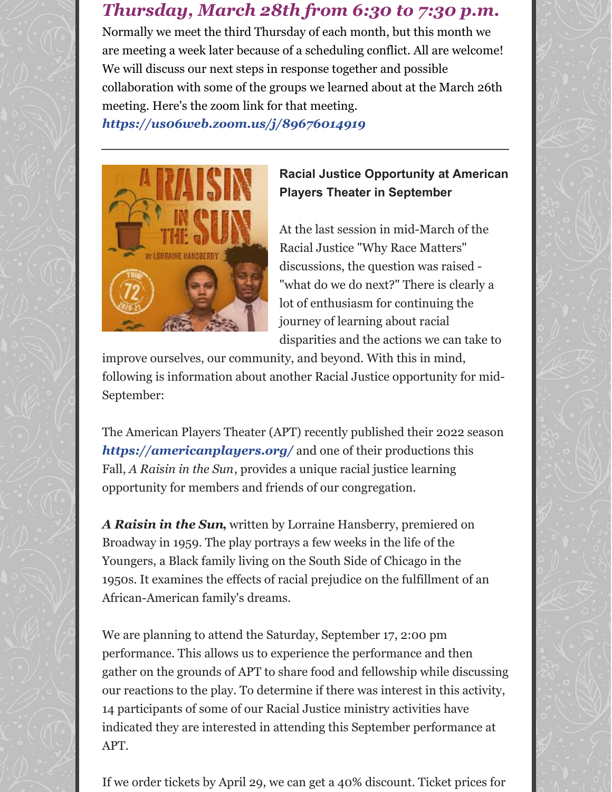## *Thursday, March 28th from 6:30 to 7:30 p.m.*

Normally we meet the third Thursday of each month, but this month we are meeting a week later because of a scheduling conflict. All are welcome! We will discuss our next steps in response together and possible collaboration with some of the groups we learned about at the March 26th meeting. Here's the zoom link for that meeting.

*<https://us06web.zoom.us/j/89676014919>*



**Racial Justice Opportunity at American Players Theater in September**

At the last session in mid-March of the Racial Justice "Why Race Matters" discussions, the question was raised - "what do we do next?" There is clearly a lot of enthusiasm for continuing the journey of learning about racial disparities and the actions we can take to

improve ourselves, our community, and beyond. With this in mind, following is information about another Racial Justice opportunity for mid-September:

The American Players Theater (APT) recently published their 2022 season *<https://americanplayers.org/>* and one of their productions this Fall, *A Raisin in the Sun*, provides a unique racial justice learning opportunity for members and friends of our congregation.

*A Raisin in the Sun***,** written by Lorraine Hansberry, premiered on Broadway in 1959. The play portrays a few weeks in the life of the Youngers, a Black family living on the South Side of Chicago in the 1950s. It examines the effects of racial prejudice on the fulfillment of an African-American family's dreams.

We are planning to attend the Saturday, September 17, 2:00 pm performance. This allows us to experience the performance and then gather on the grounds of APT to share food and fellowship while discussing our reactions to the play. To determine if there was interest in this activity, 14 participants of some of our Racial Justice ministry activities have indicated they are interested in attending this September performance at APT.

If we order tickets by April 29, we can get a 40% discount. Ticket prices for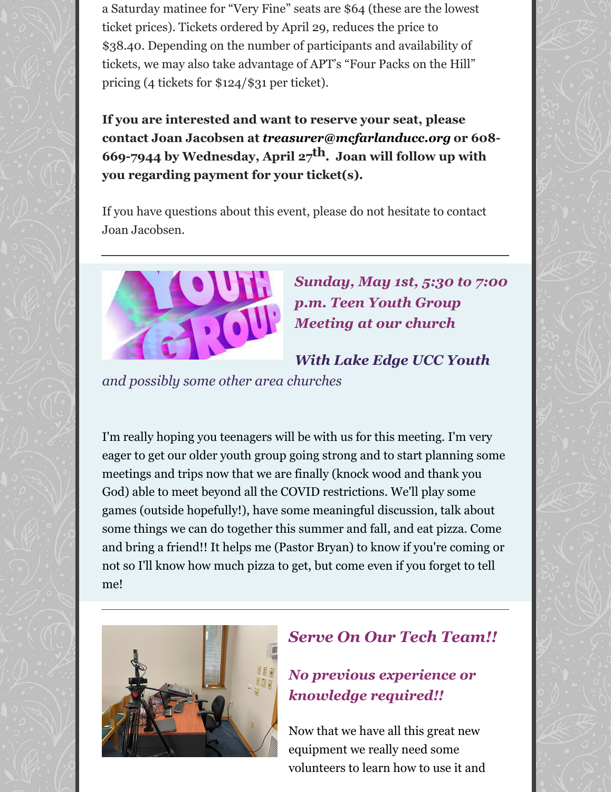a Saturday matinee for "Very Fine" seats are \$64 (these are the lowest ticket prices). Tickets ordered by April 29, reduces the price to \$38.40. Depending on the number of participants and availability of tickets, we may also take advantage of APT's "Four Packs on the Hill" pricing (4 tickets for \$124/\$31 per ticket).

**If you are interested and want to reserve your seat, please contact Joan Jacobsen at** *[treasurer@mcfarlanducc.org](mailto:treasurer@mcfarlanducc.org)* **or 608- 669-7944 by Wednesday, April 27 th. Joan will follow up with you regarding payment for your ticket(s).**

If you have questions about this event, please do not hesitate to contact Joan Jacobsen.



*Sunday, May 1st, 5:30 to 7:00 p.m. Teen Youth Group Meeting at our church*

*With Lake Edge UCC Youth*

*and possibly some other area churches*

I'm really hoping you teenagers will be with us for this meeting. I'm very eager to get our older youth group going strong and to start planning some meetings and trips now that we are finally (knock wood and thank you God) able to meet beyond all the COVID restrictions. We'll play some games (outside hopefully!), have some meaningful discussion, talk about some things we can do together this summer and fall, and eat pizza. Come and bring a friend!! It helps me (Pastor Bryan) to know if you're coming or not so I'll know how much pizza to get, but come even if you forget to tell me!



#### *Serve On Our Tech Team!!*

#### *No previous experience or knowledge required!!*

Now that we have all this great new equipment we really need some volunteers to learn how to use it and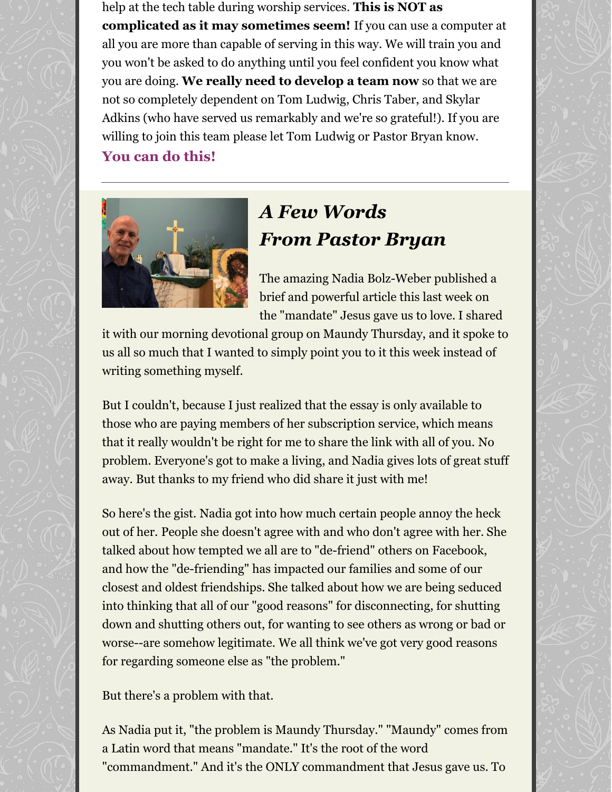help at the tech table during worship services. **This is NOT as complicated as it may sometimes seem!** If you can use a computer at all you are more than capable of serving in this way. We will train you and you won't be asked to do anything until you feel confident you know what you are doing. **We really need to develop a team now** so that we are not so completely dependent on Tom Ludwig, Chris Taber, and Skylar Adkins (who have served us remarkably and we're so grateful!). If you are willing to join this team please let Tom Ludwig or Pastor Bryan know.

**You can do this!**



# *A Few Words From Pastor Bryan*

The amazing Nadia Bolz-Weber published a brief and powerful article this last week on the "mandate" Jesus gave us to love. I shared

it with our morning devotional group on Maundy Thursday, and it spoke to us all so much that I wanted to simply point you to it this week instead of writing something myself.

But I couldn't, because I just realized that the essay is only available to those who are paying members of her subscription service, which means that it really wouldn't be right for me to share the link with all of you. No problem. Everyone's got to make a living, and Nadia gives lots of great stuff away. But thanks to my friend who did share it just with me!

So here's the gist. Nadia got into how much certain people annoy the heck out of her. People she doesn't agree with and who don't agree with her. She talked about how tempted we all are to "de-friend" others on Facebook, and how the "de-friending" has impacted our families and some of our closest and oldest friendships. She talked about how we are being seduced into thinking that all of our "good reasons" for disconnecting, for shutting down and shutting others out, for wanting to see others as wrong or bad or worse--are somehow legitimate. We all think we've got very good reasons for regarding someone else as "the problem."

But there's a problem with that.

As Nadia put it, "the problem is Maundy Thursday." "Maundy" comes from a Latin word that means "mandate." It's the root of the word "commandment." And it's the ONLY commandment that Jesus gave us. To